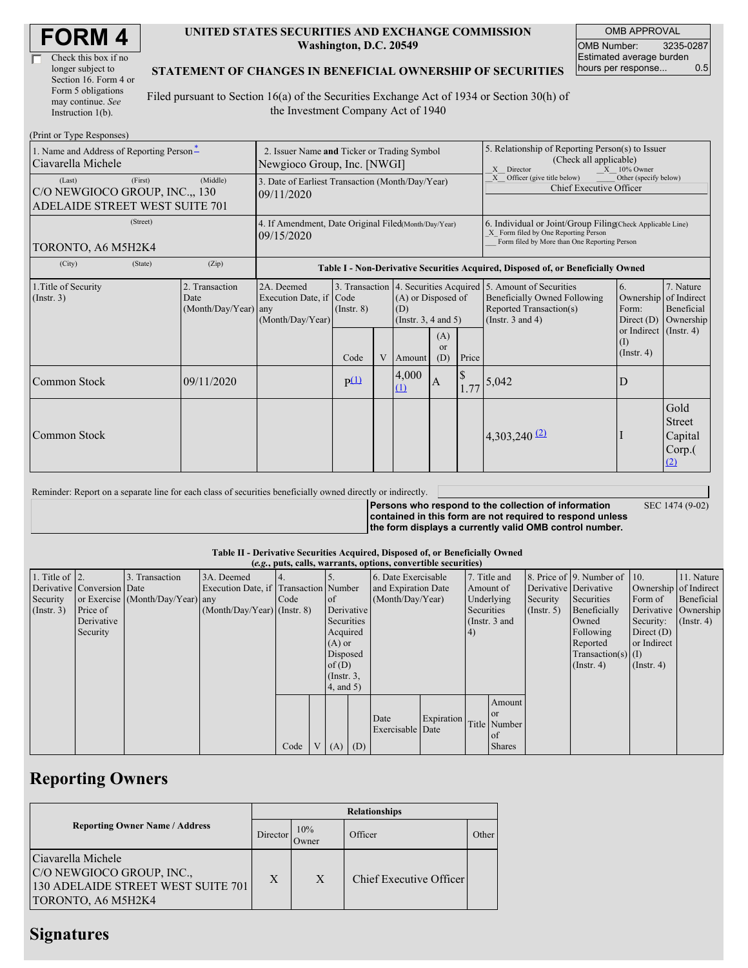| <b>FORM4</b> |
|--------------|
|--------------|

| Check this box if no  |
|-----------------------|
| longer subject to     |
| Section 16. Form 4 or |
| Form 5 obligations    |
| may continue. See     |
| Instruction 1(b).     |

#### **UNITED STATES SECURITIES AND EXCHANGE COMMISSION Washington, D.C. 20549**

OMB APPROVAL OMB Number: 3235-0287 Estimated average burden hours per response... 0.5

SEC 1474 (9-02)

#### **STATEMENT OF CHANGES IN BENEFICIAL OWNERSHIP OF SECURITIES**

Filed pursuant to Section 16(a) of the Securities Exchange Act of 1934 or Section 30(h) of the Investment Company Act of 1940

| (Print or Type Responses)                                                                        |                                                                            |                                                |                                                                                  |                                       |   |                                                                                                                                                    |              |                                                                                |                                                                                                                                      |                                                                                                           |                                               |  |
|--------------------------------------------------------------------------------------------------|----------------------------------------------------------------------------|------------------------------------------------|----------------------------------------------------------------------------------|---------------------------------------|---|----------------------------------------------------------------------------------------------------------------------------------------------------|--------------|--------------------------------------------------------------------------------|--------------------------------------------------------------------------------------------------------------------------------------|-----------------------------------------------------------------------------------------------------------|-----------------------------------------------|--|
| 1. Name and Address of Reporting Person-<br>Ciavarella Michele                                   | 2. Issuer Name and Ticker or Trading Symbol<br>Newgioco Group, Inc. [NWGI] |                                                |                                                                                  |                                       |   | 5. Relationship of Reporting Person(s) to Issuer<br>(Check all applicable)<br>X Director<br>$X = 10\%$ Owner                                       |              |                                                                                |                                                                                                                                      |                                                                                                           |                                               |  |
| (First)<br>(Last)<br>(Middle)<br>C/O NEWGIOCO GROUP, INC., 130<br>ADELAIDE STREET WEST SUITE 701 |                                                                            |                                                | 3. Date of Earliest Transaction (Month/Day/Year)<br>09/11/2020                   |                                       |   |                                                                                                                                                    |              | Officer (give title below)<br>Other (specify below)<br>Chief Executive Officer |                                                                                                                                      |                                                                                                           |                                               |  |
| TORONTO, A6 M5H2K4                                                                               | 4. If Amendment, Date Original Filed(Month/Day/Year)<br>09/15/2020         |                                                |                                                                                  |                                       |   | 6. Individual or Joint/Group Filing(Check Applicable Line)<br>X Form filed by One Reporting Person<br>Form filed by More than One Reporting Person |              |                                                                                |                                                                                                                                      |                                                                                                           |                                               |  |
| (City)                                                                                           | (State)                                                                    | (Zip)                                          | Table I - Non-Derivative Securities Acquired, Disposed of, or Beneficially Owned |                                       |   |                                                                                                                                                    |              |                                                                                |                                                                                                                                      |                                                                                                           |                                               |  |
| 1. Title of Security<br>$($ Instr. 3 $)$                                                         |                                                                            | 2. Transaction<br>Date<br>(Month/Day/Year) any | 2A. Deemed<br>Execution Date, if Code<br>(Month/Day/Year)                        | 3. Transaction<br>(Insert, 8)<br>Code | V | (A) or Disposed of<br>(D)<br>(Instr. $3, 4$ and $5$ )<br>(A)<br>or<br>(D)<br>Price<br>Amount                                                       |              |                                                                                | 4. Securities Acquired 5. Amount of Securities<br><b>Beneficially Owned Following</b><br>Reported Transaction(s)<br>(Instr. 3 and 4) | 6.<br>Ownership of Indirect<br>Form:<br>Direct $(D)$<br>or Indirect (Instr. 4)<br>(1)<br>$($ Instr. 4 $)$ | 7. Nature<br>Beneficial<br>Ownership          |  |
| Common Stock                                                                                     |                                                                            | 09/11/2020                                     |                                                                                  | P(1)                                  |   | 4,000<br>(1)                                                                                                                                       | $\mathbf{A}$ | \$                                                                             | $1.77$ 5,042                                                                                                                         | $\mathbf D$                                                                                               |                                               |  |
| Common Stock                                                                                     |                                                                            |                                                |                                                                                  |                                       |   |                                                                                                                                                    |              |                                                                                | 4,303,240 $(2)$                                                                                                                      |                                                                                                           | Gold<br>Street<br>Capital<br>$Corp.$ (<br>(2) |  |

Reminder: Report on a separate line for each class of securities beneficially owned directly or indirectly.

**Persons who respond to the collection of information contained in this form are not required to respond unless the form displays a currently valid OMB control number.**

### **Table II - Derivative Securities Acquired, Disposed of, or Beneficially Owned**

|                        | (e.g., puts, calls, warrants, options, convertible securities) |                                  |                                       |      |                |                 |     |                     |                                  |                                |               |                       |                          |                       |                  |
|------------------------|----------------------------------------------------------------|----------------------------------|---------------------------------------|------|----------------|-----------------|-----|---------------------|----------------------------------|--------------------------------|---------------|-----------------------|--------------------------|-----------------------|------------------|
| 1. Title of $\vert$ 2. |                                                                | 3. Transaction                   | 3A. Deemed                            |      |                |                 |     | 6. Date Exercisable |                                  |                                | 7. Title and  |                       | 8. Price of 9. Number of | 10.                   | 11. Nature       |
|                        | Derivative Conversion Date                                     |                                  | Execution Date, if Transaction Number |      |                |                 |     |                     | and Expiration Date<br>Amount of |                                |               | Derivative Derivative |                          | Ownership of Indirect |                  |
| Security               |                                                                | or Exercise (Month/Day/Year) any |                                       | Code |                | of              |     |                     | (Month/Day/Year)<br>Underlying   |                                | Security      | Securities            | Form of                  | Beneficial            |                  |
| $($ Instr. 3 $)$       | Price of                                                       |                                  | $(Month/Day/Year)$ (Instr. 8)         |      |                | Derivative      |     |                     |                                  | Securities<br>$($ Instr. 5 $)$ |               | Beneficially          | Derivative Ownership     |                       |                  |
|                        | Derivative                                                     |                                  |                                       |      |                | Securities      |     |                     |                                  | (Instr. 3 and                  |               |                       | Owned                    | Security:             | $($ Instr. 4 $)$ |
|                        | Security                                                       |                                  |                                       |      | Acquired       |                 |     |                     |                                  |                                |               |                       | Following                | Direct $(D)$          |                  |
|                        |                                                                |                                  |                                       |      | $(A)$ or       |                 |     |                     |                                  |                                |               |                       | Reported                 | or Indirect           |                  |
|                        |                                                                |                                  |                                       |      |                | Disposed        |     |                     |                                  |                                |               |                       | $Transaction(s)$ (I)     |                       |                  |
|                        |                                                                |                                  |                                       |      |                | of $(D)$        |     |                     |                                  |                                |               |                       | $($ Instr. 4 $)$         | $($ Instr. 4 $)$      |                  |
|                        |                                                                |                                  |                                       |      |                | $($ Instr. 3,   |     |                     |                                  |                                |               |                       |                          |                       |                  |
|                        |                                                                |                                  |                                       |      |                | $4$ , and $5$ ) |     |                     |                                  |                                |               |                       |                          |                       |                  |
|                        |                                                                |                                  |                                       |      |                |                 |     |                     |                                  |                                | Amount        |                       |                          |                       |                  |
|                        |                                                                |                                  |                                       |      |                |                 |     |                     |                                  |                                | <b>or</b>     |                       |                          |                       |                  |
|                        |                                                                |                                  |                                       |      |                |                 |     | Date                | Expiration                       |                                | Title Number  |                       |                          |                       |                  |
|                        |                                                                |                                  |                                       |      |                |                 |     | Exercisable Date    |                                  |                                | l of          |                       |                          |                       |                  |
|                        |                                                                |                                  |                                       | Code | V <sub>1</sub> | (A)             | (D) |                     |                                  |                                | <b>Shares</b> |                       |                          |                       |                  |

## **Reporting Owners**

|                                                                                                             | <b>Relationships</b> |              |                         |       |  |  |  |  |
|-------------------------------------------------------------------------------------------------------------|----------------------|--------------|-------------------------|-------|--|--|--|--|
| <b>Reporting Owner Name / Address</b>                                                                       | Director             | 10%<br>Owner | Officer                 | Other |  |  |  |  |
| Ciavarella Michele<br>C/O NEWGIOCO GROUP, INC.,<br>130 ADELAIDE STREET WEST SUITE 701<br>TORONTO, A6 M5H2K4 | X                    | X            | Chief Executive Officer |       |  |  |  |  |

### **Signatures**